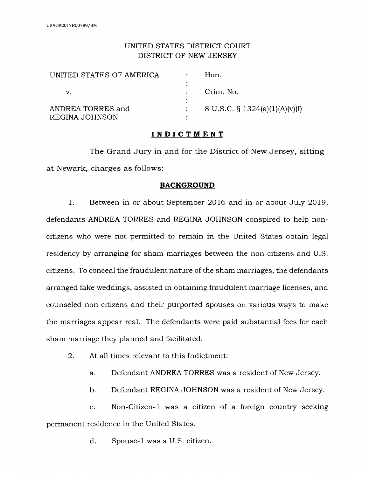## UNITED STATES DISTRICT COURT DISTRICT OF NEW JERSEY

| UNITED STATES OF AMERICA | Hon.                              |
|--------------------------|-----------------------------------|
|                          |                                   |
|                          | Crim. No.                         |
|                          |                                   |
| ANDREA TORRES and        | 8 U.S.C. $\S$ 1324(a)(1)(A)(v)(I) |
| REGINA JOHNSON           |                                   |

## **INDICTMENT**

The Grand Jury in and for the District of New Jersey, sitting at Newark, charges as follows:

## **BACKGROUND**

1. Between in or about September 2016 and in or about July 2019, defendants ANDREA TORRES and REGINA JOHNSON conspired to help noncitizens who were not permitted to remain in the United States obtain legal residency by arranging for sham marriages between the non-citizens and U.S. citizens. To conceal the fraudulent nature of the sham marriages, the defendants arranged fake weddings, assisted in obtaining fraudulent marriage licenses, and counseled non-citizens and their purported spouses on various ways to make the marriages appear real. The defendants were paid substantial fees for each sham marriage they planned and facilitated.

- 2. At all times relevant to this Indictment:
	- a. Defendant ANDREA TORRES was a resident of New Jersey.
	- b. Defendant REGINA JOHNSON was a resident of New Jersey.

c. Non-Citizen-I was a citizen of a foreign country seeking permanent residence in the United States.

d. Spouse-I was a U.S. citizen.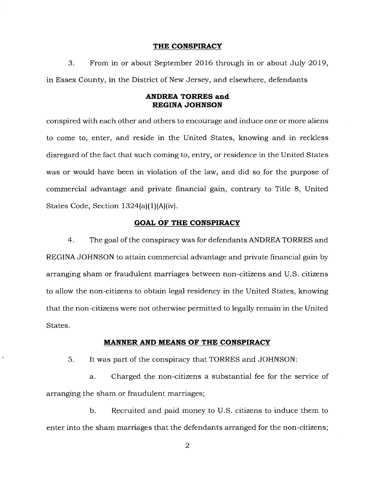#### **THE CONSPIRACY**

3. From in or about September 2016 through in or about July 2019, in Essex County, in the District of New Jersey, and elsewhere, defendants

#### **ANDREA TORRES and REGINA JOHNSON**

conspired with each other and others to encourage and induce one or more aliens to come to, enter, and reside in the United States, knowing and in reckless disregard of the fact that such coming to, entry, or residence in the United States was or would have been in violation of the law, and did so for the purpose of commercial advantage and private financial gain, contrary to Title 8, United States Code, Section 1324(a)(1)(A)(iv).

#### **GOAL OF THE CONSPIRACY**

4. The goal of the conspiracy was for defendants ANDREA TORRES and REGINA JOHNSON to attain commercial advantage and private financial gain by arranging sham or fraudulent marriages between non-citizens and U.S. citizens to allow the non-citizens to obtain legal residency in the United States, knowing that the non-citizens were not otherwise permitted to legally remain in the United States.

#### **MANNER AND MEANS OF THE CONSPIRACY**

5. It was part of the conspiracy that TORRES and JOHNSON:

a. Charged the non-citizens a substantial fee for the service of arranging the sham or fraudulent marriages;

b. Recruited and paid money to U.S. citizens to induce them to enter into the sham marriages that the defendants arranged for the non-citizens;

2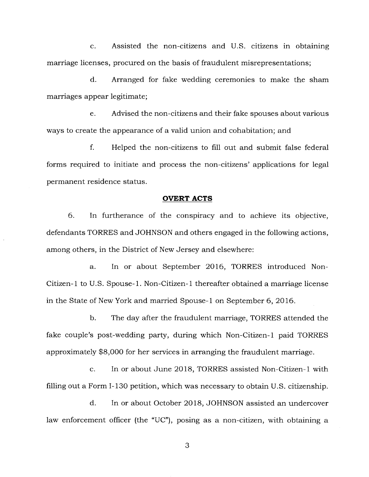c. Assisted the non-citizens and U.S. citizens in obtaining marriage licenses, procured on the basis of fraudulent misrepresentations;

d. Arranged for fake wedding ceremonies to make the sham marriages appear legitimate;

e. Advised the non-citizens and their fake spouses about various ways to create the appearance of a valid union and cohabitation; and

f. Helped the non-citizens to fill out and submit false federal forms required to initiate and process the non-citizens' applications for legal permanent residence status.

#### **OVERT ACTS**

6. In furtherance of the conspiracy and to achieve its objective, defendants TORRES and JOHNSON and others engaged in the following actions, among others, in the District of New Jersey and elsewhere:

a. In or about September 2016, TORRES introduced Non-Citizen-1 to U.S. Spouse-1. Non-Citizen-1 thereafter obtained a marriage license in the State of New York and married Spouse-1 on September 6, 2016.

b. The day after the fraudulent marriage, TORRES attended the fake couple's post-wedding party, during which Non-Citizen-1 paid TORRES approximately \$8,000 for her services in arranging the fraudulent marriage.

c. In or about June 2018, TORRES assisted Non-Citizen-1 with filling out a Form I-130 petition, which was necessary to obtain U.S. citizenship.

d. In or about October 2018, JOHNSON assisted an undercover law enforcement officer (the "UC"), posing as a non-citizen, with obtaining a

3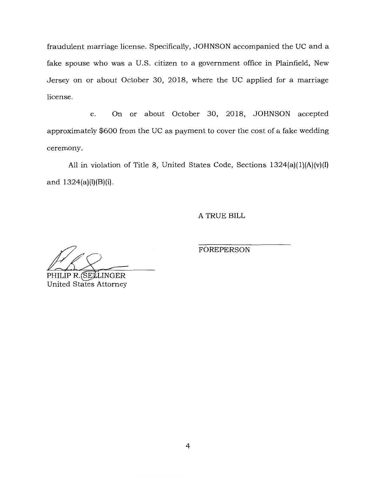fraudulent marriage license. Specifically, JOHNSON accompanied the UC and a fake spouse who was a U.S. citizen to a government office in Plainfield, New Jersey on or about October 30, 2018, where the UC applied for a marriage license.

e. On or about October 30, 2018, JOHNSON accepted approximately \$600 from the UC as payment to cover the cost of a fake wedding ceremony.

All in violation of Title 8, United States Code, Sections  $1324(a)(1)(A)(v)(I)$ and  $1324(a)(l)(B)(i)$ .

A TRUE BILL

FOREPERSON

PHILIP R. SELLINGER United States Attorney